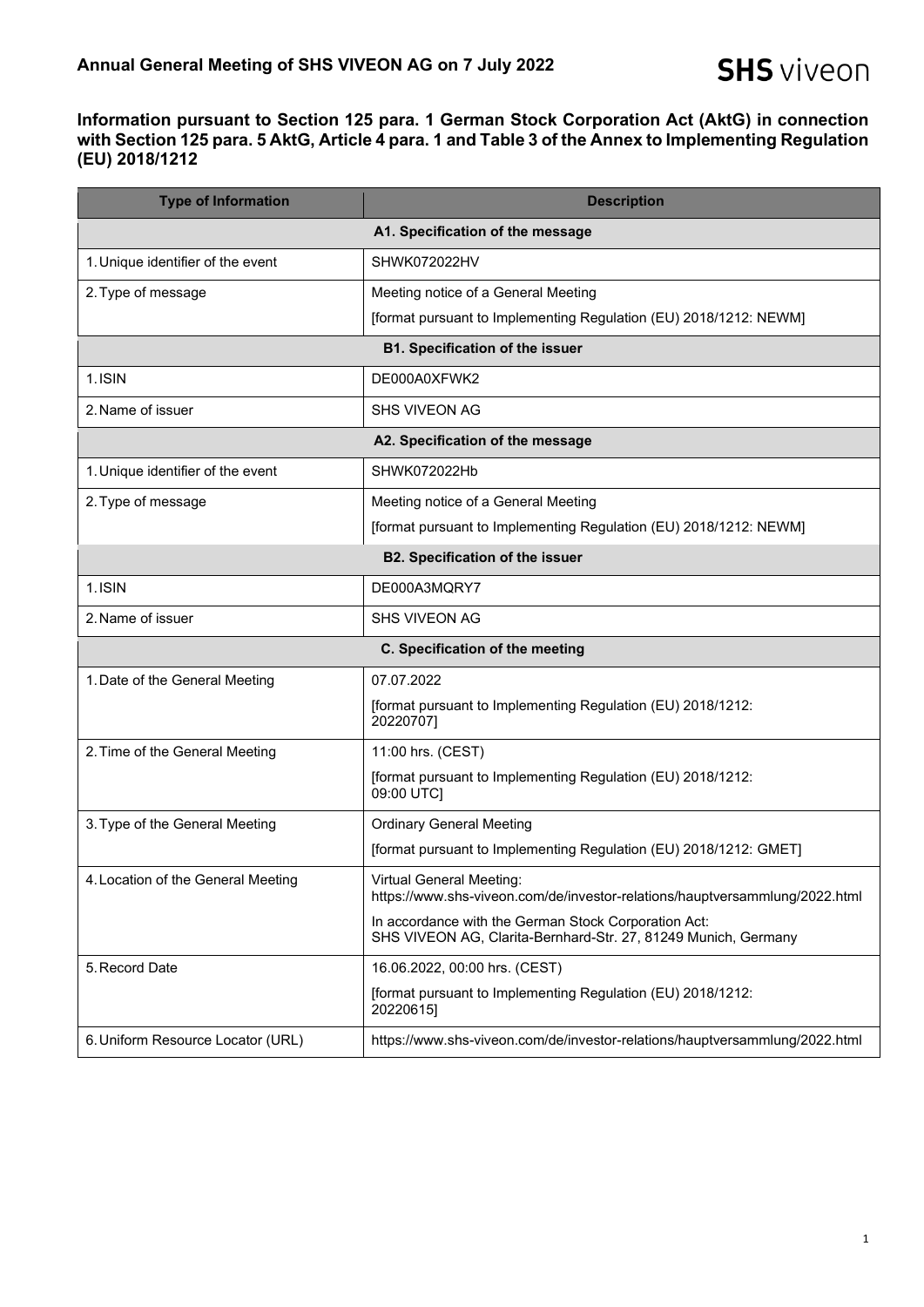## **Information pursuant to Section 125 para. 1 German Stock Corporation Act (AktG) in connection with Section 125 para. 5 AktG, Article 4 para. 1 and Table 3 of the Annex to Implementing Regulation (EU) 2018/1212**

| <b>Type of Information</b>             | <b>Description</b>                                                                                                     |  |
|----------------------------------------|------------------------------------------------------------------------------------------------------------------------|--|
| A1. Specification of the message       |                                                                                                                        |  |
| 1. Unique identifier of the event      | SHWK072022HV                                                                                                           |  |
| 2. Type of message                     | Meeting notice of a General Meeting                                                                                    |  |
|                                        | [format pursuant to Implementing Regulation (EU) 2018/1212: NEWM]                                                      |  |
| <b>B1. Specification of the issuer</b> |                                                                                                                        |  |
| 1.ISIN                                 | DE000A0XFWK2                                                                                                           |  |
| 2. Name of issuer                      | <b>SHS VIVEON AG</b>                                                                                                   |  |
| A2. Specification of the message       |                                                                                                                        |  |
| 1. Unique identifier of the event      | SHWK072022Hb                                                                                                           |  |
| 2. Type of message                     | Meeting notice of a General Meeting                                                                                    |  |
|                                        | [format pursuant to Implementing Regulation (EU) 2018/1212: NEWM]                                                      |  |
| <b>B2. Specification of the issuer</b> |                                                                                                                        |  |
| 1. ISIN                                | DE000A3MORY7                                                                                                           |  |
| 2. Name of issuer                      | <b>SHS VIVEON AG</b>                                                                                                   |  |
|                                        | C. Specification of the meeting                                                                                        |  |
| 1. Date of the General Meeting         | 07.07.2022                                                                                                             |  |
|                                        | [format pursuant to Implementing Regulation (EU) 2018/1212:<br>20220707]                                               |  |
| 2. Time of the General Meeting         | 11:00 hrs. (CEST)                                                                                                      |  |
|                                        | [format pursuant to Implementing Regulation (EU) 2018/1212:<br>09:00 UTC]                                              |  |
| 3. Type of the General Meeting         | <b>Ordinary General Meeting</b>                                                                                        |  |
|                                        | [format pursuant to Implementing Regulation (EU) 2018/1212: GMET]                                                      |  |
| 4. Location of the General Meeting     | <b>Virtual General Meeting:</b><br>https://www.shs-viveon.com/de/investor-relations/hauptversammlung/2022.html         |  |
|                                        | In accordance with the German Stock Corporation Act:<br>SHS VIVEON AG, Clarita-Bernhard-Str. 27, 81249 Munich, Germany |  |
| 5. Record Date                         | 16.06.2022, 00:00 hrs. (CEST)                                                                                          |  |
|                                        | [format pursuant to Implementing Regulation (EU) 2018/1212:<br>20220615]                                               |  |
| 6. Uniform Resource Locator (URL)      | https://www.shs-viveon.com/de/investor-relations/hauptversammlung/2022.html                                            |  |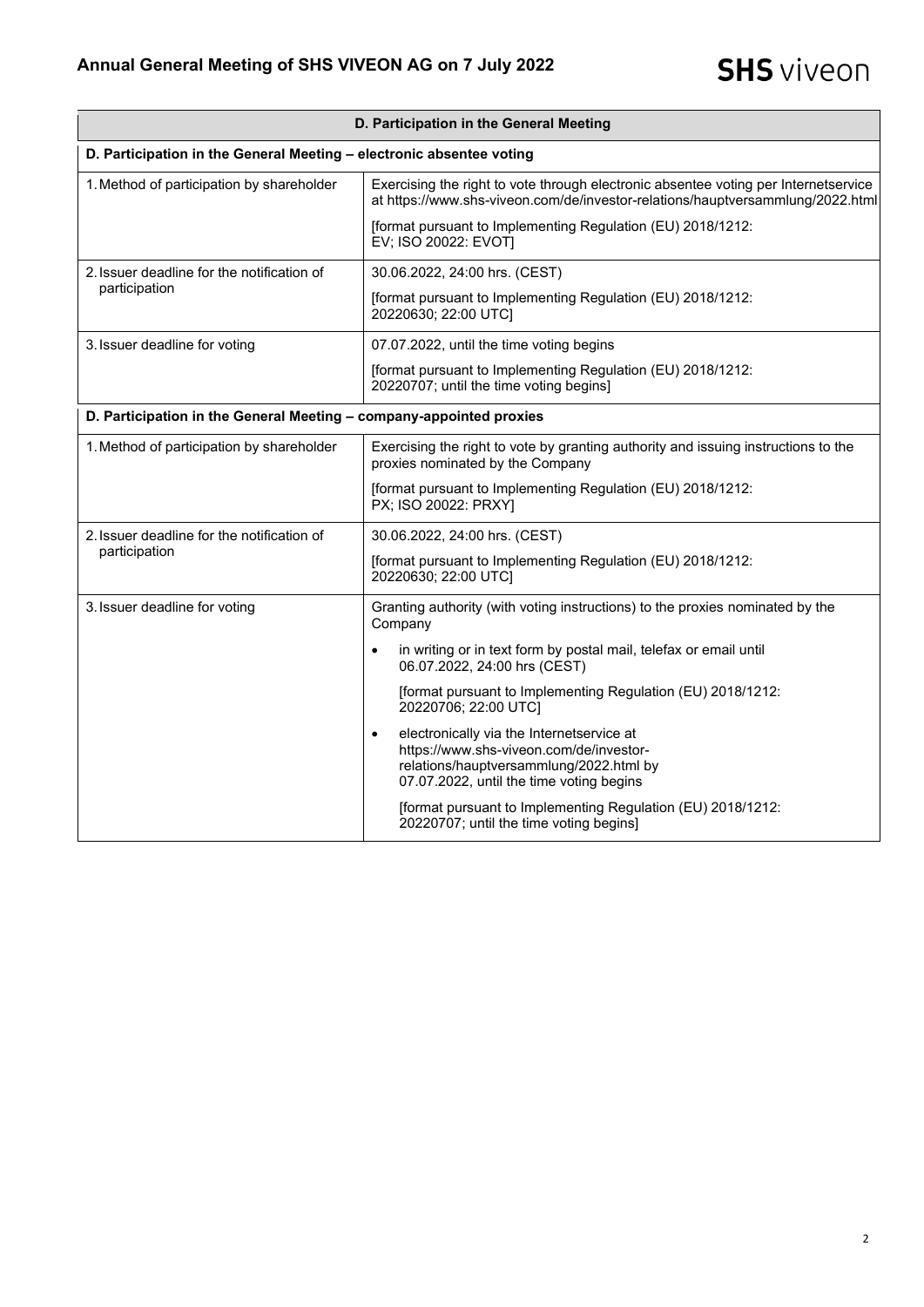| D. Participation in the General Meeting                              |                                                                                                                                                                                          |  |
|----------------------------------------------------------------------|------------------------------------------------------------------------------------------------------------------------------------------------------------------------------------------|--|
| D. Participation in the General Meeting - electronic absentee voting |                                                                                                                                                                                          |  |
| 1. Method of participation by shareholder                            | Exercising the right to vote through electronic absentee voting per Internetservice<br>at https://www.shs-viveon.com/de/investor-relations/hauptversammlung/2022.html                    |  |
|                                                                      | [format pursuant to Implementing Regulation (EU) 2018/1212:<br>EV; ISO 20022: EVOT]                                                                                                      |  |
| 2. Issuer deadline for the notification of<br>participation          | 30.06.2022, 24:00 hrs. (CEST)                                                                                                                                                            |  |
|                                                                      | [format pursuant to Implementing Regulation (EU) 2018/1212:<br>20220630; 22:00 UTC]                                                                                                      |  |
| 3. Issuer deadline for voting                                        | 07.07.2022, until the time voting begins                                                                                                                                                 |  |
|                                                                      | [format pursuant to Implementing Regulation (EU) 2018/1212:<br>20220707; until the time voting begins]                                                                                   |  |
| D. Participation in the General Meeting - company-appointed proxies  |                                                                                                                                                                                          |  |
| 1. Method of participation by shareholder                            | Exercising the right to vote by granting authority and issuing instructions to the<br>proxies nominated by the Company                                                                   |  |
|                                                                      | [format pursuant to Implementing Regulation (EU) 2018/1212:<br>PX; ISO 20022: PRXY]                                                                                                      |  |
| 2. Issuer deadline for the notification of<br>participation          | 30.06.2022, 24:00 hrs. (CEST)                                                                                                                                                            |  |
|                                                                      | [format pursuant to Implementing Regulation (EU) 2018/1212:<br>20220630; 22:00 UTC]                                                                                                      |  |
| 3. Issuer deadline for voting                                        | Granting authority (with voting instructions) to the proxies nominated by the<br>Company                                                                                                 |  |
|                                                                      | in writing or in text form by postal mail, telefax or email until<br>$\bullet$<br>06.07.2022, 24:00 hrs (CEST)                                                                           |  |
|                                                                      | [format pursuant to Implementing Regulation (EU) 2018/1212:<br>20220706; 22:00 UTC]                                                                                                      |  |
|                                                                      | electronically via the Internetservice at<br>$\bullet$<br>https://www.shs-viveon.com/de/investor-<br>relations/hauptversammlung/2022.html by<br>07.07.2022, until the time voting begins |  |
|                                                                      | [format pursuant to Implementing Regulation (EU) 2018/1212:<br>20220707; until the time voting begins]                                                                                   |  |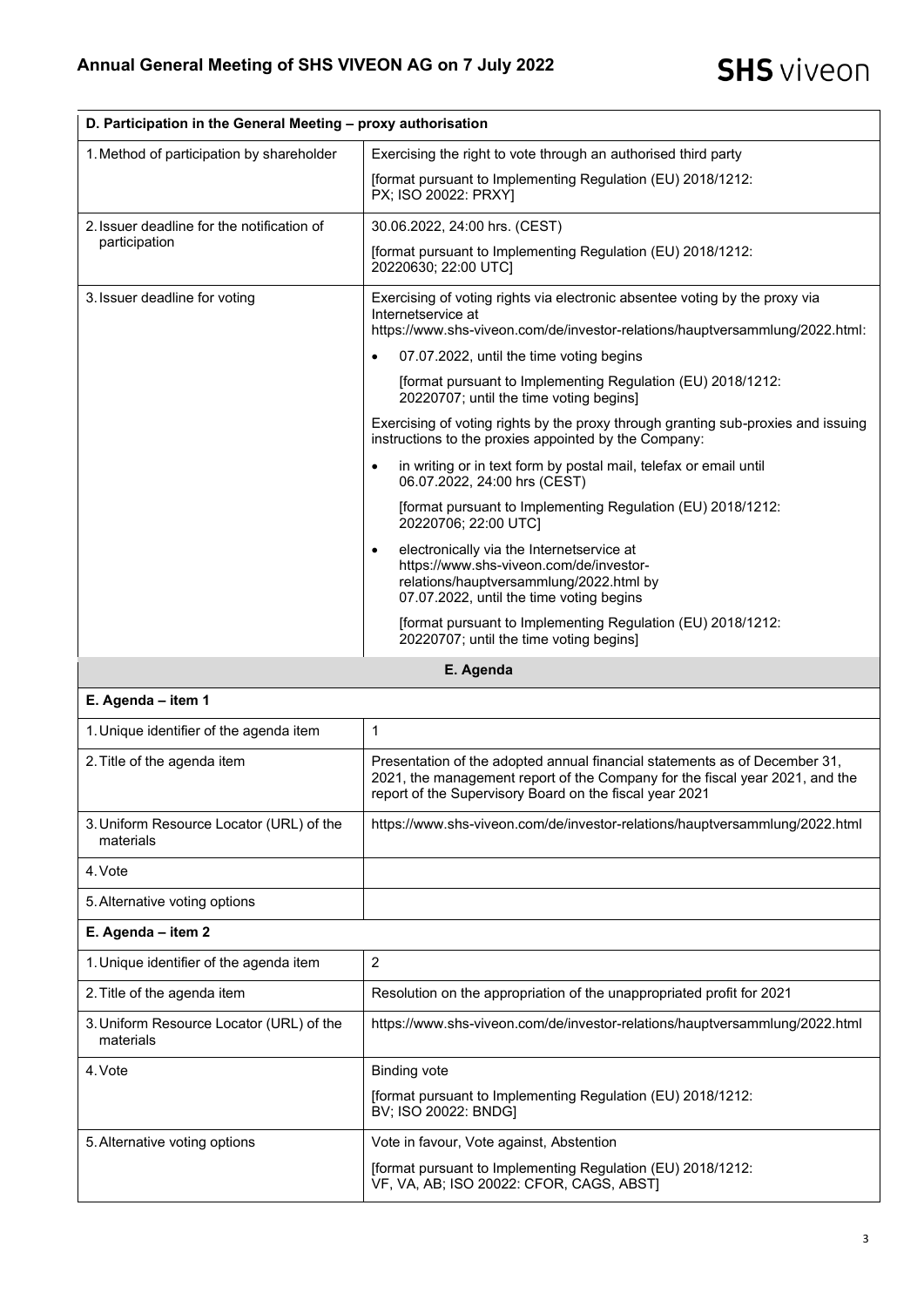| D. Participation in the General Meeting - proxy authorisation |                                                                                                                                                                                                                       |  |
|---------------------------------------------------------------|-----------------------------------------------------------------------------------------------------------------------------------------------------------------------------------------------------------------------|--|
| 1. Method of participation by shareholder                     | Exercising the right to vote through an authorised third party                                                                                                                                                        |  |
|                                                               | [format pursuant to Implementing Regulation (EU) 2018/1212:<br>PX; ISO 20022: PRXY]                                                                                                                                   |  |
| 2. Issuer deadline for the notification of<br>participation   | 30.06.2022, 24:00 hrs. (CEST)                                                                                                                                                                                         |  |
|                                                               | [format pursuant to Implementing Regulation (EU) 2018/1212:<br>20220630; 22:00 UTC]                                                                                                                                   |  |
| 3. Issuer deadline for voting                                 | Exercising of voting rights via electronic absentee voting by the proxy via<br>Internetservice at                                                                                                                     |  |
|                                                               | https://www.shs-viveon.com/de/investor-relations/hauptversammlung/2022.html:                                                                                                                                          |  |
|                                                               | 07.07.2022, until the time voting begins<br>$\bullet$                                                                                                                                                                 |  |
|                                                               | [format pursuant to Implementing Regulation (EU) 2018/1212:<br>20220707; until the time voting begins]                                                                                                                |  |
|                                                               | Exercising of voting rights by the proxy through granting sub-proxies and issuing<br>instructions to the proxies appointed by the Company:                                                                            |  |
|                                                               | in writing or in text form by postal mail, telefax or email until<br>$\bullet$<br>06.07.2022, 24:00 hrs (CEST)                                                                                                        |  |
|                                                               | [format pursuant to Implementing Regulation (EU) 2018/1212:<br>20220706; 22:00 UTC]                                                                                                                                   |  |
|                                                               | electronically via the Internetservice at<br>$\bullet$<br>https://www.shs-viveon.com/de/investor-<br>relations/hauptversammlung/2022.html by<br>07.07.2022, until the time voting begins                              |  |
|                                                               | [format pursuant to Implementing Regulation (EU) 2018/1212:<br>20220707; until the time voting begins]                                                                                                                |  |
| E. Agenda                                                     |                                                                                                                                                                                                                       |  |
| E. Agenda - item 1                                            |                                                                                                                                                                                                                       |  |
| 1. Unique identifier of the agenda item                       | 1                                                                                                                                                                                                                     |  |
| 2. Title of the agenda item                                   | Presentation of the adopted annual financial statements as of December 31,<br>2021, the management report of the Company for the fiscal year 2021, and the<br>report of the Supervisory Board on the fiscal year 2021 |  |
| 3. Uniform Resource Locator (URL) of the<br>materials         | https://www.shs-viveon.com/de/investor-relations/hauptversammlung/2022.html                                                                                                                                           |  |
| 4. Vote                                                       |                                                                                                                                                                                                                       |  |

5.Alternative voting options

**E. Agenda – item 2**

| 1. Unique identifier of the agenda item               | 2                                                                                                       |
|-------------------------------------------------------|---------------------------------------------------------------------------------------------------------|
| 2. Title of the agenda item                           | Resolution on the appropriation of the unappropriated profit for 2021                                   |
| 3. Uniform Resource Locator (URL) of the<br>materials | https://www.shs-viveon.com/de/investor-relations/hauptversammlung/2022.html                             |
| 4. Vote                                               | <b>Binding vote</b>                                                                                     |
|                                                       | [format pursuant to Implementing Regulation (EU) 2018/1212:<br>BV: ISO 20022: BNDGI                     |
| 5. Alternative voting options                         | Vote in favour, Vote against, Abstention                                                                |
|                                                       | [format pursuant to Implementing Regulation (EU) 2018/1212:<br>VF, VA, AB; ISO 20022: CFOR, CAGS, ABSTI |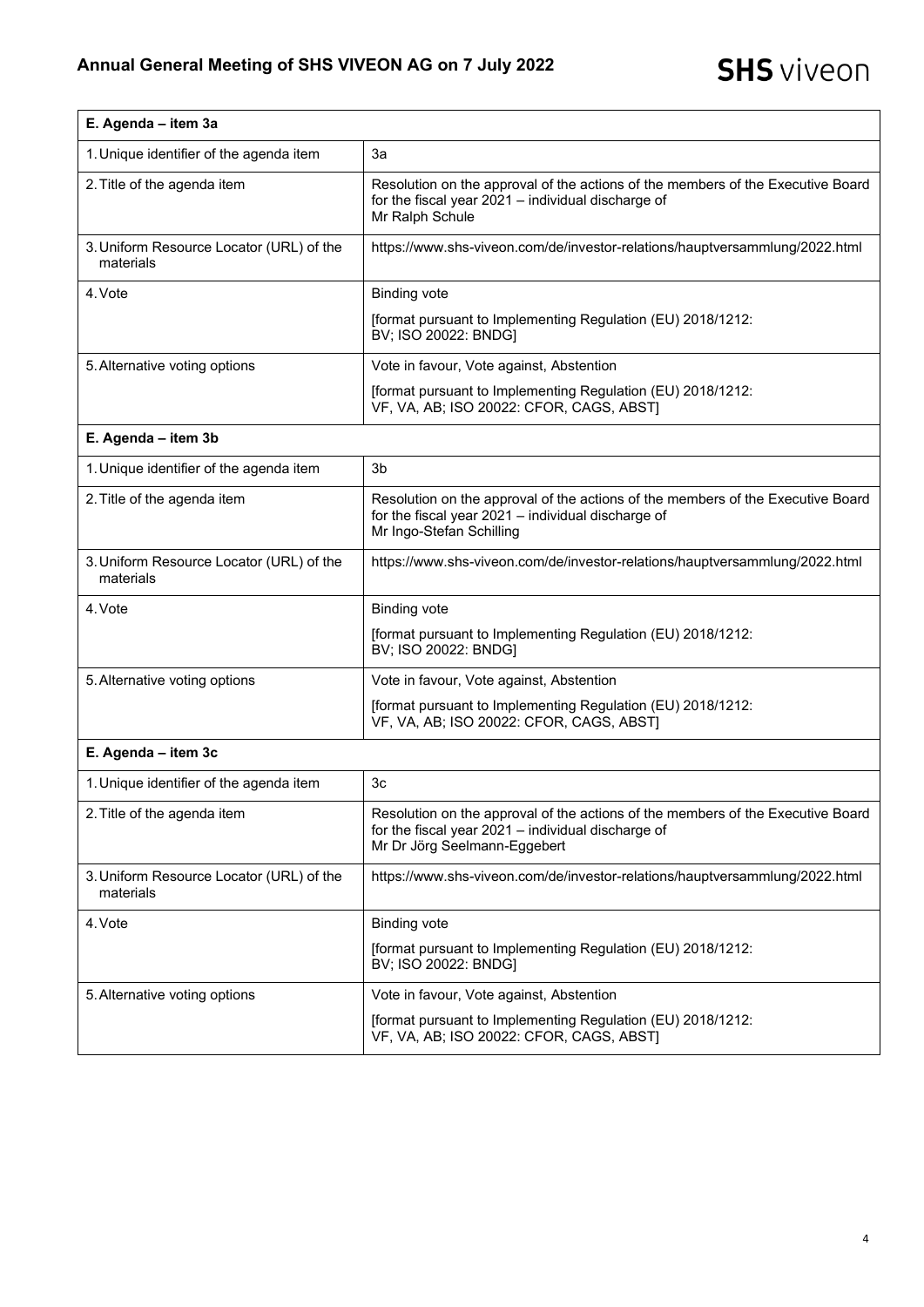| E. Agenda - item 3a                                   |                                                                                                                                                                       |
|-------------------------------------------------------|-----------------------------------------------------------------------------------------------------------------------------------------------------------------------|
| 1. Unique identifier of the agenda item               | За                                                                                                                                                                    |
| 2. Title of the agenda item                           | Resolution on the approval of the actions of the members of the Executive Board<br>for the fiscal year 2021 - individual discharge of<br>Mr Ralph Schule              |
| 3. Uniform Resource Locator (URL) of the<br>materials | https://www.shs-viveon.com/de/investor-relations/hauptversammlung/2022.html                                                                                           |
| 4. Vote                                               | <b>Binding vote</b>                                                                                                                                                   |
|                                                       | [format pursuant to Implementing Regulation (EU) 2018/1212:<br>BV; ISO 20022: BNDG]                                                                                   |
| 5. Alternative voting options                         | Vote in favour, Vote against, Abstention                                                                                                                              |
|                                                       | [format pursuant to Implementing Regulation (EU) 2018/1212:<br>VF, VA, AB; ISO 20022: CFOR, CAGS, ABST]                                                               |
| E. Agenda - item 3b                                   |                                                                                                                                                                       |
| 1. Unique identifier of the agenda item               | 3 <sub>b</sub>                                                                                                                                                        |
| 2. Title of the agenda item                           | Resolution on the approval of the actions of the members of the Executive Board<br>for the fiscal year 2021 - individual discharge of<br>Mr Ingo-Stefan Schilling     |
| 3. Uniform Resource Locator (URL) of the<br>materials | https://www.shs-viveon.com/de/investor-relations/hauptversammlung/2022.html                                                                                           |
| 4. Vote                                               | <b>Binding vote</b>                                                                                                                                                   |
|                                                       | [format pursuant to Implementing Regulation (EU) 2018/1212:<br>BV; ISO 20022: BNDG]                                                                                   |
| 5. Alternative voting options                         | Vote in favour, Vote against, Abstention                                                                                                                              |
|                                                       | [format pursuant to Implementing Regulation (EU) 2018/1212:<br>VF, VA, AB; ISO 20022: CFOR, CAGS, ABST)                                                               |
| E. Agenda - item 3c                                   |                                                                                                                                                                       |
| 1. Unique identifier of the agenda item               | 3c                                                                                                                                                                    |
| 2. Title of the agenda item                           | Resolution on the approval of the actions of the members of the Executive Board<br>for the fiscal year 2021 - individual discharge of<br>Mr Dr Jörg Seelmann-Eggebert |
| 3. Uniform Resource Locator (URL) of the<br>materials | https://www.shs-viveon.com/de/investor-relations/hauptversammlung/2022.html                                                                                           |
| 4. Vote                                               | <b>Binding vote</b>                                                                                                                                                   |
|                                                       | [format pursuant to Implementing Regulation (EU) 2018/1212:<br>BV; ISO 20022: BNDG]                                                                                   |
| 5. Alternative voting options                         | Vote in favour, Vote against, Abstention                                                                                                                              |
|                                                       | [format pursuant to Implementing Regulation (EU) 2018/1212:<br>VF, VA, AB; ISO 20022: CFOR, CAGS, ABST]                                                               |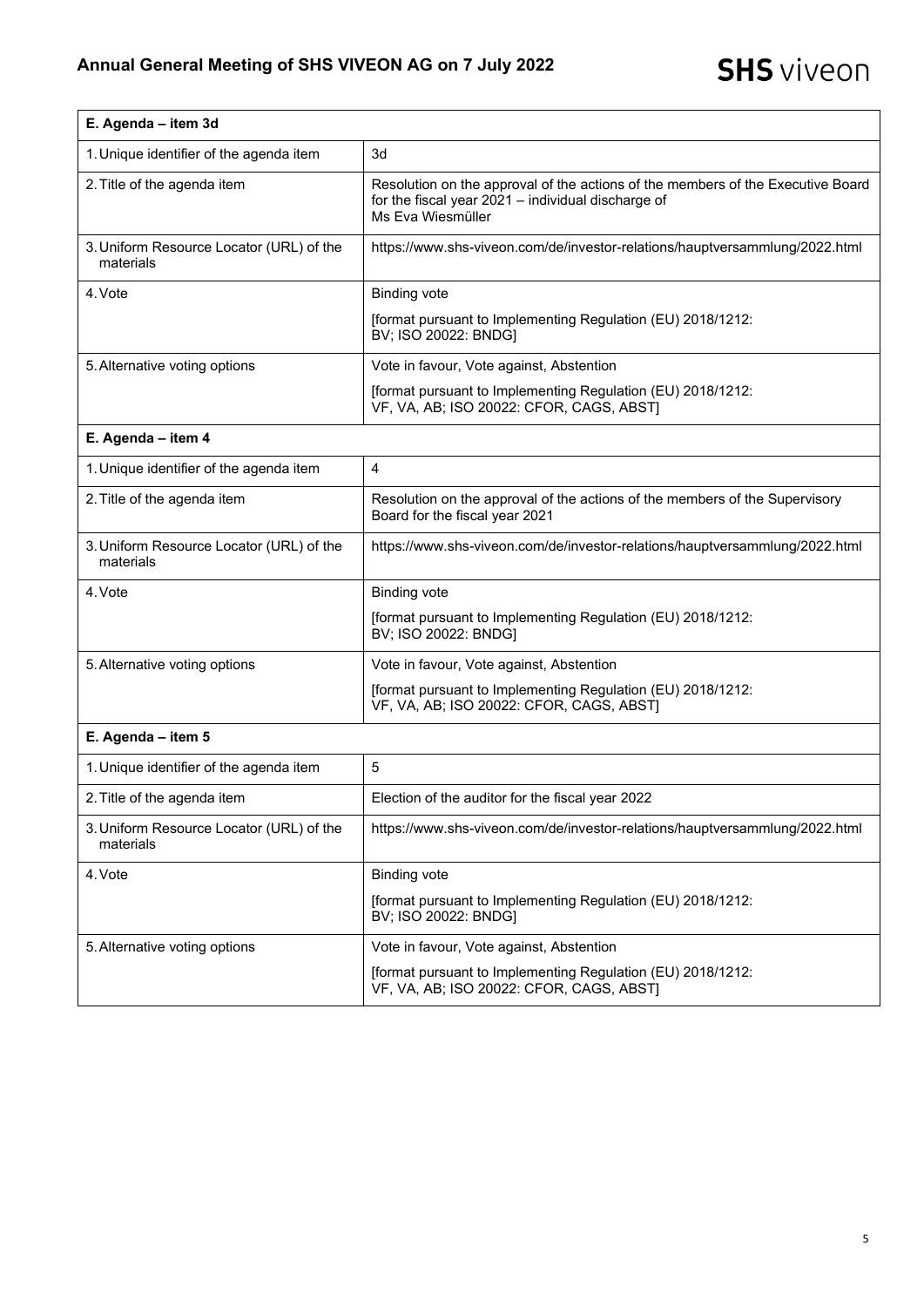r

| E. Agenda - item 3d                                   |                                                                                                                                                            |
|-------------------------------------------------------|------------------------------------------------------------------------------------------------------------------------------------------------------------|
| 1. Unique identifier of the agenda item               | 3d                                                                                                                                                         |
| 2. Title of the agenda item                           | Resolution on the approval of the actions of the members of the Executive Board<br>for the fiscal year 2021 - individual discharge of<br>Ms Eva Wiesmüller |
| 3. Uniform Resource Locator (URL) of the<br>materials | https://www.shs-viveon.com/de/investor-relations/hauptversammlung/2022.html                                                                                |
| 4. Vote                                               | <b>Binding vote</b>                                                                                                                                        |
|                                                       | [format pursuant to Implementing Regulation (EU) 2018/1212:<br>BV; ISO 20022: BNDG]                                                                        |
| 5. Alternative voting options                         | Vote in favour, Vote against, Abstention                                                                                                                   |
|                                                       | [format pursuant to Implementing Regulation (EU) 2018/1212:<br>VF, VA, AB; ISO 20022: CFOR, CAGS, ABST]                                                    |
| E. Agenda - item 4                                    |                                                                                                                                                            |
| 1. Unique identifier of the agenda item               | $\overline{4}$                                                                                                                                             |
| 2. Title of the agenda item                           | Resolution on the approval of the actions of the members of the Supervisory<br>Board for the fiscal year 2021                                              |
| 3. Uniform Resource Locator (URL) of the<br>materials | https://www.shs-viveon.com/de/investor-relations/hauptversammlung/2022.html                                                                                |
| 4. Vote                                               | <b>Binding vote</b>                                                                                                                                        |
|                                                       | [format pursuant to Implementing Regulation (EU) 2018/1212:<br>BV; ISO 20022: BNDG]                                                                        |
| 5. Alternative voting options                         | Vote in favour, Vote against, Abstention                                                                                                                   |
|                                                       | [format pursuant to Implementing Regulation (EU) 2018/1212:<br>VF, VA, AB; ISO 20022: CFOR, CAGS, ABST]                                                    |
| E. Agenda - item 5                                    |                                                                                                                                                            |
| 1. Unique identifier of the agenda item               | $\overline{5}$                                                                                                                                             |
| 2. Title of the agenda item                           | Election of the auditor for the fiscal year 2022                                                                                                           |
| 3. Uniform Resource Locator (URL) of the<br>materials | https://www.shs-viveon.com/de/investor-relations/hauptversammlung/2022.html                                                                                |
| 4. Vote                                               | <b>Binding vote</b>                                                                                                                                        |
|                                                       | [format pursuant to Implementing Regulation (EU) 2018/1212:<br>BV; ISO 20022: BNDG]                                                                        |
| 5. Alternative voting options                         | Vote in favour, Vote against, Abstention                                                                                                                   |
|                                                       | [format pursuant to Implementing Regulation (EU) 2018/1212:<br>VF, VA, AB; ISO 20022: CFOR, CAGS, ABST)                                                    |